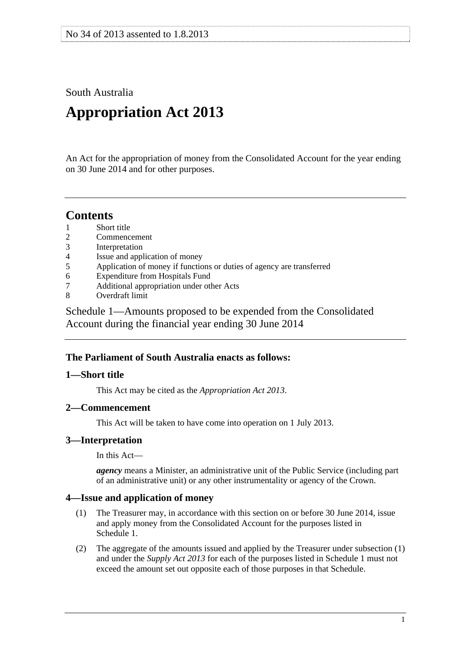<span id="page-0-0"></span>South Australia

# **Appropriation Act 2013**

An Act for the appropriation of money from the Consolidated Account for the year ending on 30 June 2014 and for other purposes.

# **Contents**

- [1 Short title](#page-0-0)
- [2 Commencement](#page-0-0)
- [3 Interpretation](#page-0-0)
- [4 Issue and application of money](#page-0-0)
- [5 Application of money if functions or duties of agency are transferred](#page-1-0)
- [6 Expenditure from Hospitals Fund](#page-1-0)
- [7 Additional appropriation under other Acts](#page-1-0)
- [8 Overdraft limit](#page-1-0)

[Schedule 1—Amounts proposed to be expended from the Consolidated](#page-1-0)  [Account during the financial year ending 30 June 2014](#page-1-0) 

# **The Parliament of South Australia enacts as follows:**

# **1—Short title**

This Act may be cited as the *Appropriation Act 2013*.

# **2—Commencement**

This Act will be taken to have come into operation on 1 July 2013.

# **3—Interpretation**

In this Act—

*agency* means a Minister, an administrative unit of the Public Service (including part of an administrative unit) or any other instrumentality or agency of the Crown.

# **4—Issue and application of money**

- (1) The Treasurer may, in accordance with this section on or before 30 June 2014, issue and apply money from the Consolidated Account for the purposes listed in [Schedule 1.](#page-1-0)
- (2) The aggregate of the amounts issued and applied by the Treasurer under [subsection \(1\)](#page-0-0) and under the *[Supply Act 2013](http://www.legislation.sa.gov.au/index.aspx?action=legref&type=act&legtitle=Supply%20Act%202013)* for each of the purposes listed in [Schedule 1](#page-1-0) must not exceed the amount set out opposite each of those purposes in that Schedule.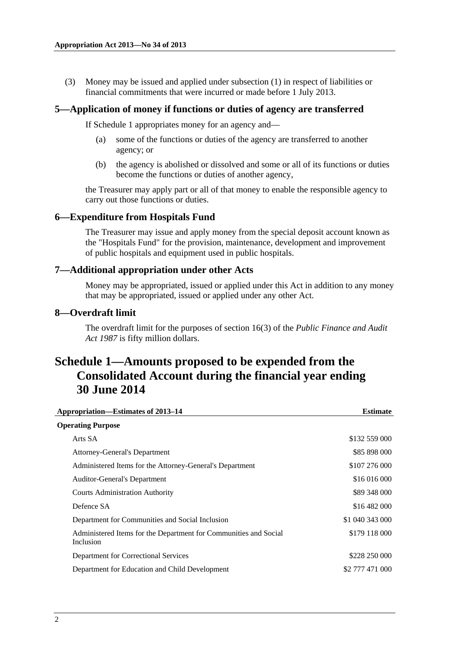<span id="page-1-0"></span> (3) Money may be issued and applied under [subsection \(1\)](#page-0-0) in respect of liabilities or financial commitments that were incurred or made before 1 July 2013.

#### **5—Application of money if functions or duties of agency are transferred**

If [Schedule 1](#page-1-0) appropriates money for an agency and—

- (a) some of the functions or duties of the agency are transferred to another agency; or
- (b) the agency is abolished or dissolved and some or all of its functions or duties become the functions or duties of another agency,

the Treasurer may apply part or all of that money to enable the responsible agency to carry out those functions or duties.

#### **6—Expenditure from Hospitals Fund**

The Treasurer may issue and apply money from the special deposit account known as the "Hospitals Fund" for the provision, maintenance, development and improvement of public hospitals and equipment used in public hospitals.

#### **7—Additional appropriation under other Acts**

Money may be appropriated, issued or applied under this Act in addition to any money that may be appropriated, issued or applied under any other Act.

#### **8—Overdraft limit**

The overdraft limit for the purposes of section 16(3) of the *[Public Finance and Audit](http://www.legislation.sa.gov.au/index.aspx?action=legref&type=act&legtitle=Public%20Finance%20and%20Audit%20Act%201987)  [Act 1987](http://www.legislation.sa.gov.au/index.aspx?action=legref&type=act&legtitle=Public%20Finance%20and%20Audit%20Act%201987)* is fifty million dollars.

# **Schedule 1—Amounts proposed to be expended from the Consolidated Account during the financial year ending 30 June 2014**

| Appropriation—Estimates of 2013-14                                            | <b>Estimate</b> |
|-------------------------------------------------------------------------------|-----------------|
| <b>Operating Purpose</b>                                                      |                 |
| Arts SA                                                                       | \$132 559 000   |
| Attorney-General's Department                                                 | \$85 898 000    |
| Administered Items for the Attorney-General's Department                      | \$107 276 000   |
| <b>Auditor-General's Department</b>                                           | \$16 016 000    |
| <b>Courts Administration Authority</b>                                        | \$89 348 000    |
| Defence SA                                                                    | \$16 482 000    |
| Department for Communities and Social Inclusion                               | \$1 040 343 000 |
| Administered Items for the Department for Communities and Social<br>Inclusion | \$179 118 000   |
| Department for Correctional Services                                          | \$228 250 000   |
| Department for Education and Child Development                                | \$2 777 471 000 |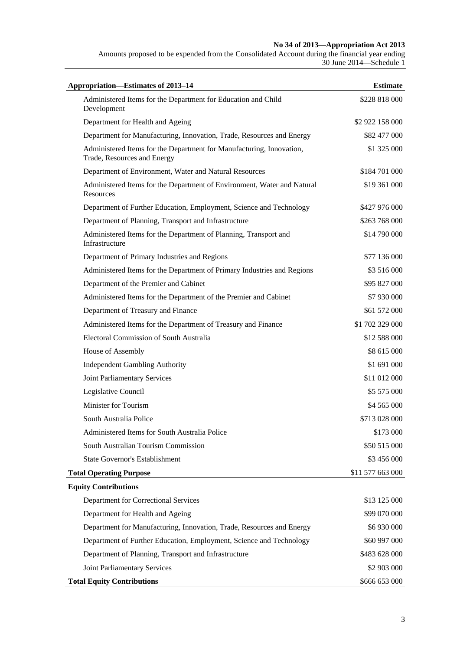#### **No 34 of 2013—Appropriation Act 2013**

Amounts proposed to be expended from the Consolidated Account during the financial year ending 30 June 2014—Schedule 1

| Appropriation-Estimates of 2013-14                                                                  | <b>Estimate</b>  |
|-----------------------------------------------------------------------------------------------------|------------------|
| Administered Items for the Department for Education and Child<br>Development                        | \$228 818 000    |
| Department for Health and Ageing                                                                    | \$2 922 158 000  |
| Department for Manufacturing, Innovation, Trade, Resources and Energy                               | \$82 477 000     |
| Administered Items for the Department for Manufacturing, Innovation,<br>Trade, Resources and Energy | \$1 325 000      |
| Department of Environment, Water and Natural Resources                                              | \$184 701 000    |
| Administered Items for the Department of Environment, Water and Natural<br>Resources                | \$19 361 000     |
| Department of Further Education, Employment, Science and Technology                                 | \$427 976 000    |
| Department of Planning, Transport and Infrastructure                                                | \$263 768 000    |
| Administered Items for the Department of Planning, Transport and<br>Infrastructure                  | \$14 790 000     |
| Department of Primary Industries and Regions                                                        | \$77 136 000     |
| Administered Items for the Department of Primary Industries and Regions                             | \$3 516 000      |
| Department of the Premier and Cabinet                                                               | \$95 827 000     |
| Administered Items for the Department of the Premier and Cabinet                                    | \$7 930 000      |
| Department of Treasury and Finance                                                                  | \$61 572 000     |
| Administered Items for the Department of Treasury and Finance                                       | \$1 702 329 000  |
| Electoral Commission of South Australia                                                             | \$12 588 000     |
| House of Assembly                                                                                   | \$8 615 000      |
| <b>Independent Gambling Authority</b>                                                               | \$1 691 000      |
| Joint Parliamentary Services                                                                        | \$11 012 000     |
| Legislative Council                                                                                 | \$5 575 000      |
| Minister for Tourism                                                                                | \$4 565 000      |
| South Australia Police                                                                              | \$713 028 000    |
| Administered Items for South Australia Police                                                       | \$173 000        |
| South Australian Tourism Commission                                                                 | \$50 515 000     |
| State Governor's Establishment                                                                      | \$3 456 000      |
| <b>Total Operating Purpose</b>                                                                      | \$11 577 663 000 |
| <b>Equity Contributions</b>                                                                         |                  |
| Department for Correctional Services                                                                | \$13 125 000     |
| Department for Health and Ageing                                                                    | \$99 070 000     |
| Department for Manufacturing, Innovation, Trade, Resources and Energy                               | \$6 930 000      |
| Department of Further Education, Employment, Science and Technology                                 | \$60 997 000     |
| Department of Planning, Transport and Infrastructure                                                | \$483 628 000    |
| Joint Parliamentary Services                                                                        | \$2 903 000      |
| <b>Total Equity Contributions</b>                                                                   | \$666 653 000    |